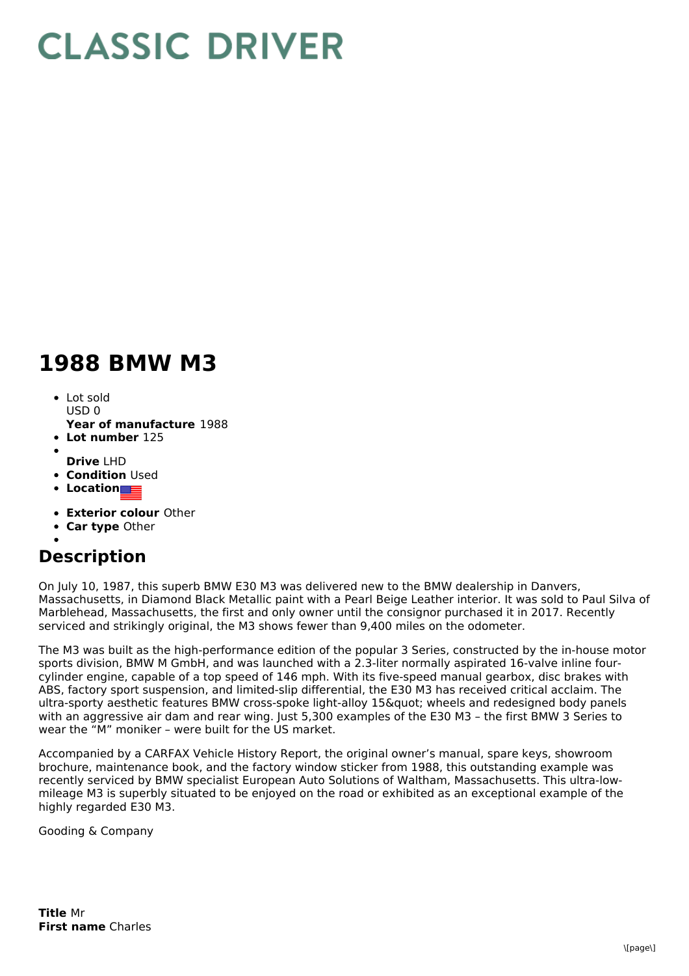## **CLASSIC DRIVER**

## **1988 BMW M3**

- Lot sold  $USDO$
- **Year of manufacture** 1988
- **Lot number** 125
- **Drive** LHD
- **Condition Used**
- **•** Location
- **Exterior colour** Other
- $\bullet$ **Car type** Other
- 

## **Description**

On July 10, 1987, this superb BMW E30 M3 was delivered new to the BMW dealership in Danvers, Massachusetts, in Diamond Black Metallic paint with a Pearl Beige Leather interior. It was sold to Paul Silva of Marblehead, Massachusetts, the first and only owner until the consignor purchased it in 2017. Recently serviced and strikingly original, the M3 shows fewer than 9,400 miles on the odometer.

The M3 was built as the high-performance edition of the popular 3 Series, constructed by the in-house motor sports division, BMW M GmbH, and was launched with a 2.3-liter normally aspirated 16-valve inline fourcylinder engine, capable of a top speed of 146 mph. With its five-speed manual gearbox, disc brakes with ABS, factory sport suspension, and limited-slip differential, the E30 M3 has received critical acclaim. The ultra-sporty aesthetic features BMW cross-spoke light-alloy 15" wheels and redesigned body panels with an aggressive air dam and rear wing. Just 5,300 examples of the E30 M3 - the first BMW 3 Series to wear the "M" moniker – were built for the US market.

Accompanied by a CARFAX Vehicle History Report, the original owner's manual, spare keys, showroom brochure, maintenance book, and the factory window sticker from 1988, this outstanding example was recently serviced by BMW specialist European Auto Solutions of Waltham, Massachusetts. This ultra-low mileage M3 is superbly situated to be enjoyed on the road or exhibited as an exceptional example of the highly regarded E30 M3.

Gooding & Company